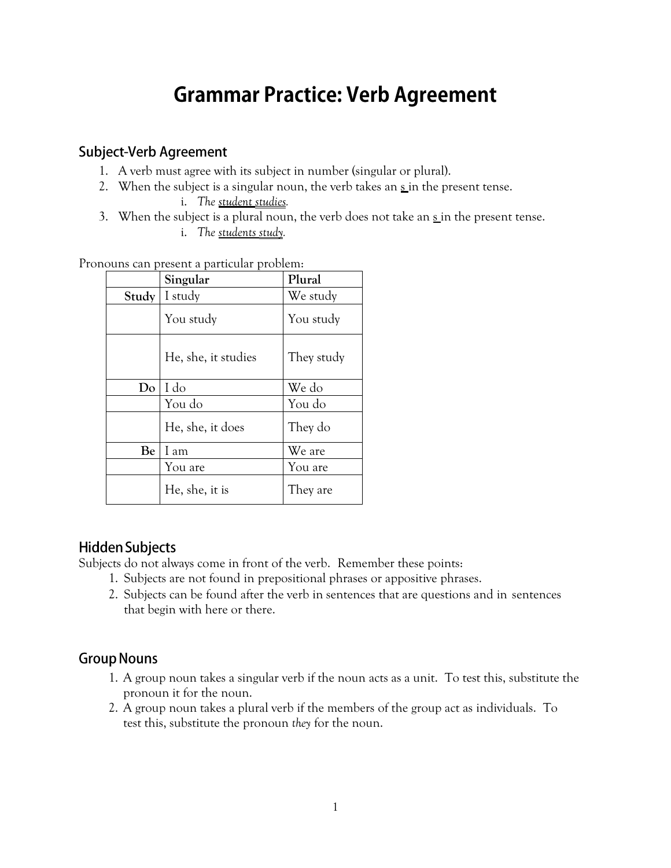# **Grammar Practice: Verb Agreement**

#### **Subject-Verb Agreement**

- 1. A verb must agree with its subject in number (singular or plural).
- 2. When the subject is a singular noun, the verb takes an  $\frac{s}{s}$  in the present tense.
	- i. *The student studies.*
- 3. When the subject is a plural noun, the verb does not take an  $\frac{s}{n}$  in the present tense.
	- i. *The students study.*

Pronouns can present a particular problem:

|       | Singular            | Plural     |  |
|-------|---------------------|------------|--|
| Study | I study             | We study   |  |
|       | You study           | You study  |  |
|       | He, she, it studies | They study |  |
| Do    | I do                | We do      |  |
|       | You do              | You do     |  |
|       | He, she, it does    | They do    |  |
| Be    | I am                | We are     |  |
|       | You are             | You are    |  |
|       | He, she, it is      | They are   |  |

#### **Hidden Subjects**

Subjects do not always come in front of the verb. Remember these points:

- 1. Subjects are not found in prepositional phrases or appositive phrases.
- 2. Subjects can be found after the verb in sentences that are questions and in sentences that begin with here or there.

#### **Group Nouns**

- 1. A group noun takes a singular verb if the noun acts as a unit. To test this, substitute the pronoun it for the noun.
- 2. A group noun takes a plural verb if the members of the group act as individuals. To test this, substitute the pronoun *they* for the noun.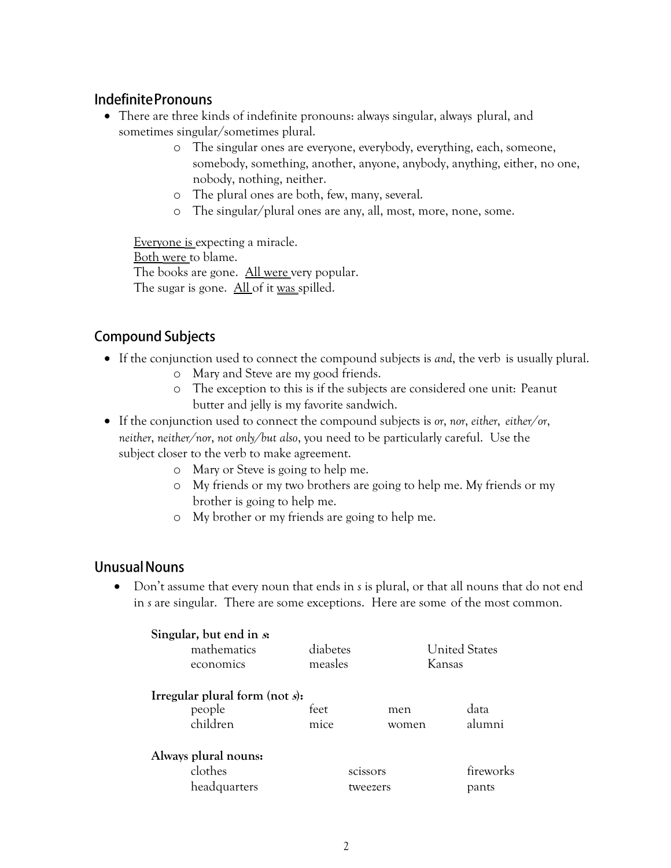#### **Indefinite Pronouns**

- There are three kinds of indefinite pronouns: always singular, always plural, and sometimes singular/sometimes plural.
	- o The singular ones are everyone, everybody, everything, each, someone, somebody, something, another, anyone, anybody, anything, either, no one, nobody, nothing, neither.
	- o The plural ones are both, few, many, several.
	- o The singular/plural ones are any, all, most, more, none, some.

Everyone is expecting a miracle. Both were to blame. The books are gone. All were very popular. The sugar is gone. All of it was spilled.

### **Compound Subjects**

- If the conjunction used to connect the compound subjects is *and*, the verb is usually plural.
	- o Mary and Steve are my good friends.
	- o The exception to this is if the subjects are considered one unit: Peanut butter and jelly is my favorite sandwich.

 If the conjunction used to connect the compound subjects is *or*, *nor*, *either*, *either/or*, *neither*, *neither/nor*, *not only/but also*, you need to be particularly careful. Use the subject closer to the verb to make agreement.

- o Mary or Steve is going to help me.
- o My friends or my two brothers are going to help me. My friends or my brother is going to help me.
- o My brother or my friends are going to help me.

#### **Unusual Nouns**

 Don't assume that every noun that ends in *s* is plural, or that all nouns that do not end in *s* are singular. There are some exceptions. Here are some of the most common.

| Singular, but end in $s$<br>mathematics<br>economics    | diabetes<br>measles  |              | <b>United States</b><br>Kansas |
|---------------------------------------------------------|----------------------|--------------|--------------------------------|
| Irregular plural form (not $s$ ):<br>people<br>children | feet<br>mice         | men<br>women | data<br>alumni                 |
| Always plural nouns:<br>clothes<br>headquarters         | scissors<br>tweezers |              | fireworks<br>pants             |